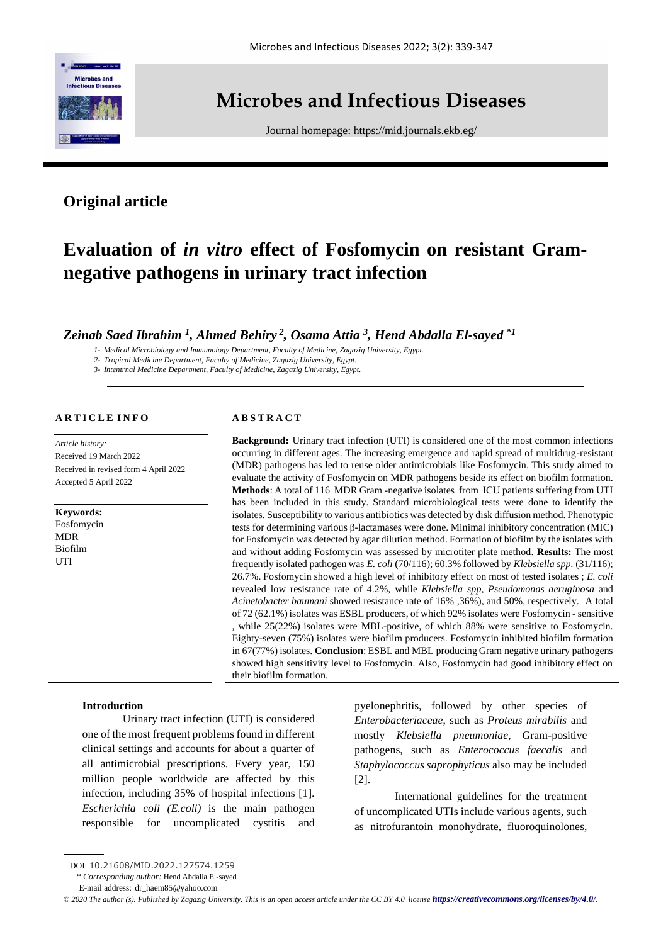

## **Microbes and Infectious Diseases**

Journal homepage:<https://mid.journals.ekb.eg/>

## **Original article**

# **Evaluation of** *in vitro* **effect of Fosfomycin on resistant Gramnegative pathogens in urinary tract infection**

*Zeinab Saed Ibrahim <sup>1</sup> , Ahmed Behiry <sup>2</sup> , Osama Attia <sup>3</sup> , Hend Abdalla El-sayed \*1*

*1- Medical Microbiology and Immunology Department, Faculty of Medicine, Zagazig University, Egypt.*

*2- Tropical Medicine Department, Faculty of Medicine, Zagazig University, Egypt.*

*3- Intentrnal Medicine Department, Faculty of Medicine, Zagazig University, Egypt.*

## **A R T I C L E I N F O**

*Article history:*  Received 19 March 2022 Received in revised form 4 April 2022 Accepted 5 April 2022

**Keywords:** Fosfomycin MDR Biofilm **UTI** 

## **A B S T R A C T**

**Background:** Urinary tract infection (UTI) is considered one of the most common infections occurring in different ages. The increasing emergence and rapid spread of multidrug-resistant (MDR) pathogens has led to reuse older antimicrobials like Fosfomycin. This study aimed to evaluate the activity of Fosfomycin on MDR pathogens beside its effect on biofilm formation. **Methods**: A total of 116 MDR Gram -negative isolates from ICU patients suffering from UTI has been included in this study. Standard microbiological tests were done to identify the isolates. Susceptibility to various antibiotics was detected by disk diffusion method. Phenotypic tests for determining various β-lactamases were done. Minimal inhibitory concentration (MIC) for Fosfomycin was detected by agar dilution method. Formation of biofilm by the isolates with and without adding Fosfomycin was assessed by microtiter plate method. **Results:** The most frequently isolated pathogen was *E. coli* (70/116); 60.3% followed by *Klebsiella spp.* (31/116); 26.7%. Fosfomycin showed a high level of inhibitory effect on most of tested isolates ; *E. coli*  revealed low resistance rate of 4.2%, while *Klebsiella spp*, *Pseudomonas aeruginosa* and *Acinetobacter baumani* showed resistance rate of 16% ,36%), and 50%, respectively. A total of 72 (62.1%) isolates was ESBL producers, of which 92% isolates were Fosfomycin - sensitive , while 25(22%) isolates were MBL-positive, of which 88% were sensitive to Fosfomycin. Eighty-seven (75%) isolates were biofilm producers. Fosfomycin inhibited biofilm formation in 67(77%) isolates. **Conclusion**: ESBL and MBL producing Gram negative urinary pathogens showed high sensitivity level to Fosfomycin. Also, Fosfomycin had good inhibitory effect on their biofilm formation.

## **Introduction**

Urinary tract infection (UTI) is considered one of the most frequent problems found in different clinical settings and accounts for about a quarter of all antimicrobial prescriptions. Every year, 150 million people worldwide are affected by this infection, including 35% of hospital infections [1]. *Escherichia coli (E.coli)* is the main pathogen responsible for uncomplicated cystitis and pyelonephritis, followed by other species of *Enterobacteriaceae*, such as *Proteus mirabilis* and mostly *Klebsiella pneumoniae*, Gram-positive pathogens, such as *Enterococcus faecalis* and *Staphylococcus saprophyticus* also may be included [2].

International guidelines for the treatment of uncomplicated UTIs include various agents, such as nitrofurantoin monohydrate, fluoroquinolones,

*© 2020 The author (s). Published by Zagazig University. This is an open access article under the CC BY 4.0 license <https://creativecommons.org/licenses/by/4.0/>.*

DOI: 10.21608/MID.2022.127574.1259

<sup>\*</sup> *Corresponding author:* Hend Abdalla El-sayed

E-mail address: dr\_haem85@yahoo.com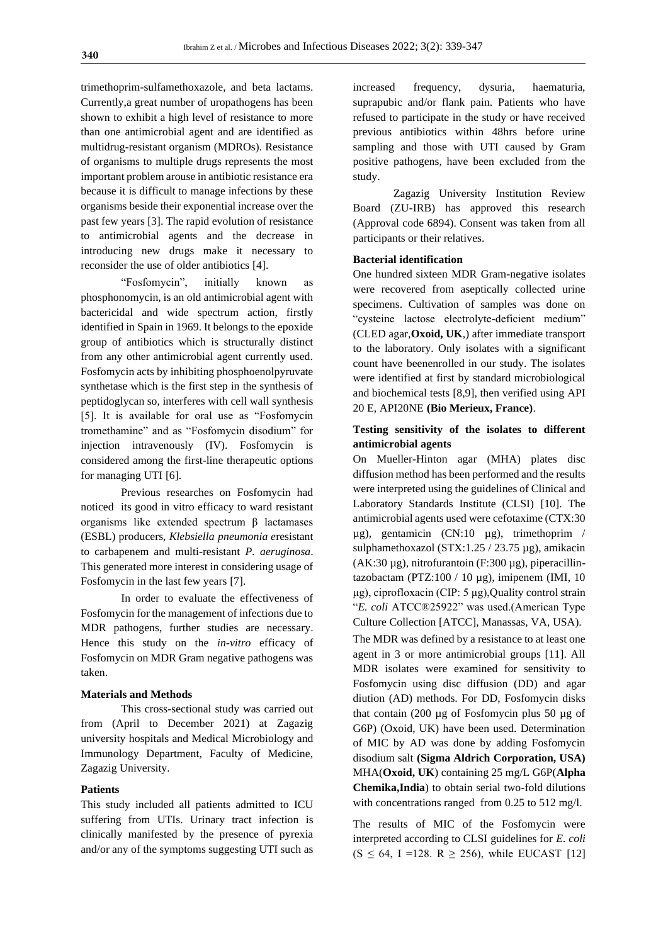trimethoprim-sulfamethoxazole, and beta lactams. Currently,a great number of uropathogens has been shown to exhibit a high level of resistance to more than one antimicrobial agent and are identified as multidrug-resistant organism (MDROs). Resistance of organisms to multiple drugs represents the most important problem arouse in antibiotic resistance era because it is difficult to manage infections by these organisms beside their exponential increase over the past few years [3]. The rapid evolution of resistance to antimicrobial agents and the decrease in introducing new drugs make it necessary to reconsider the use of older antibiotics [4].

"Fosfomycin", initially known as phosphonomycin, is an old antimicrobial agent with bactericidal and wide spectrum action, firstly identified in Spain in 1969. It belongs to the epoxide group of antibiotics which is structurally distinct from any other antimicrobial agent currently used. Fosfomycin acts by inhibiting phosphoenolpyruvate synthetase which is the first step in the synthesis of peptidoglycan so, interferes with cell wall synthesis [5]. It is available for oral use as "Fosfomycin tromethamine" and as "Fosfomycin disodium" for injection intravenously (IV). Fosfomycin is considered among the first-line therapeutic options for managing UTI [6].

Previous researches on Fosfomycin had noticed its good in vitro efficacy to ward resistant organisms like extended spectrum β lactamases (ESBL) producers, *Klebsiella pneumonia e*resistant to carbapenem and multi-resistant *P. aeruginosa*. This generated more interest in considering usage of Fosfomycin in the last few years [7].

In order to evaluate the effectiveness of Fosfomycin for the management of infections due to MDR pathogens, further studies are necessary. Hence this study on the *in-vitro* efficacy of Fosfomycin on MDR Gram negative pathogens was taken.

## **Materials and Methods**

This cross-sectional study was carried out from (April to December 2021) at Zagazig university hospitals and Medical Microbiology and Immunology Department, Faculty of Medicine, Zagazig University.

## **Patients**

This study included all patients admitted to ICU suffering from UTIs. Urinary tract infection is clinically manifested by the presence of pyrexia and/or any of the symptoms suggesting UTI such as

increased frequency, dysuria, haematuria, suprapubic and/or flank pain. Patients who have refused to participate in the study or have received previous antibiotics within 48hrs before urine sampling and those with UTI caused by Gram positive pathogens, have been excluded from the study.

Zagazig University Institution Review Board (ZU-IRB) has approved this research (Approval code 6894). Consent was taken from all participants or their relatives.

## **Bacterial identification**

One hundred sixteen MDR Gram-negative isolates were recovered from aseptically collected urine specimens. Cultivation of samples was done on "cysteine lactose electrolyte-deficient medium" (CLED agar,**Oxoid, UK**,) after immediate transport to the laboratory. Only isolates with a significant count have beenenrolled in our study. The isolates were identified at first by standard microbiological and biochemical tests [8,9], then verified using API 20 E, API20NE **(Bio Merieux, France)**.

## **Testing sensitivity of the isolates to different antimicrobial agents**

On Mueller-Hinton agar (MHA) plates disc diffusion method has been performed and the results were interpreted using the guidelines of Clinical and Laboratory Standards Institute (CLSI) [10]. The antimicrobial agents used were cefotaxime (CTX:30 µg), gentamicin (CN:10 µg), trimethoprim / sulphamethoxazol (STX:1.25 / 23.75 µg), amikacin  $(AK:30 \mu g)$ , nitrofurantoin  $(F:300 \mu g)$ , piperacillintazobactam (PTZ:100 / 10 µg), imipenem (IMI, 10 μg), ciprofloxacin (CIP: 5 μg),Quality control strain "*E. coli* ATCC®25922" was used.(American Type Culture Collection [ATCC], Manassas, VA, USA).

The MDR was defined by a resistance to at least one agent in 3 or more antimicrobial groups [11]. All MDR isolates were examined for sensitivity to Fosfomycin using disc diffusion (DD) and agar diution (AD) methods. For DD, Fosfomycin disks that contain (200 µg of Fosfomycin plus 50 µg of G6P) (Oxoid, UK) have been used. Determination of MIC by AD was done by adding Fosfomycin disodium salt **(Sigma Aldrich Corporation, USA)**  MHA(**Oxoid, UK**) containing 25 mg/L G6P(**Alpha Chemika,India**) to obtain serial two-fold dilutions with concentrations ranged from 0.25 to 512 mg/l.

The results of MIC of the Fosfomycin were interpreted according to CLSI guidelines for *E. coli*   $(S \le 64, I = 128. R \ge 256)$ , while EUCAST [12]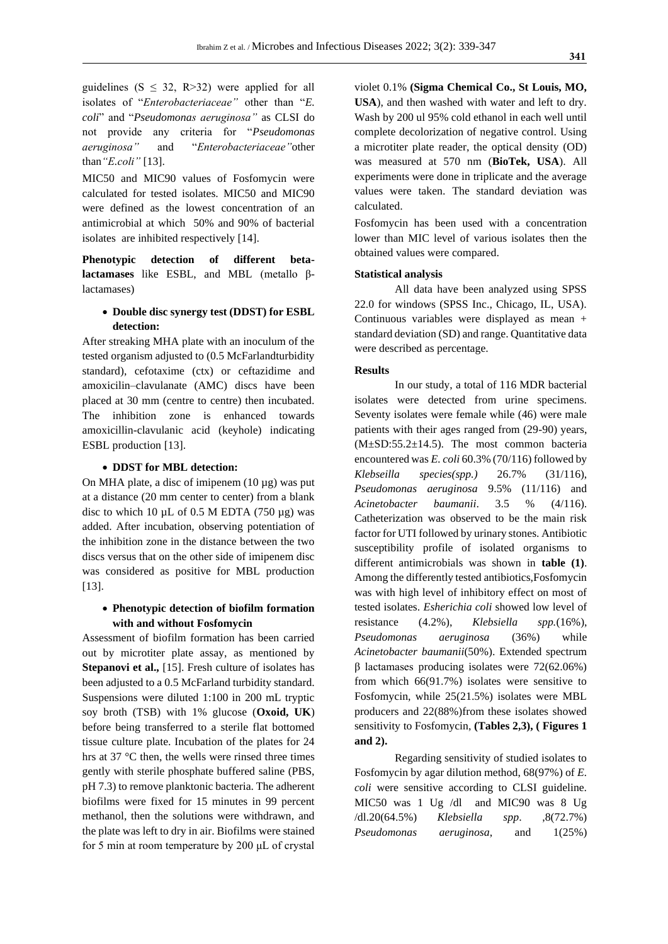guidelines ( $S \leq 32$ , R>32) were applied for all isolates of "*Enterobacteriaceae"* other than "*E. coli*" and "*Pseudomonas aeruginosa"* as CLSI do not provide any criteria for "*Pseudomonas aeruginosa"* and "*Enterobacteriaceae"*other than*"E.coli"* [13].

MIC50 and MIC90 values of Fosfomycin were calculated for tested isolates. MIC50 and MIC90 were defined as the lowest concentration of an antimicrobial at which 50% and 90% of bacterial isolates are inhibited respectively [14].

**Phenotypic detection of different betalactamases** like ESBL, and MBL (metallo βlactamases)

## • **Double disc synergy test (DDST) for ESBL detection:**

After streaking MHA plate with an inoculum of the tested organism adjusted to (0.5 McFarlandturbidity standard), cefotaxime (ctx) or ceftazidime and amoxicilin–clavulanate (AMC) discs have been placed at 30 mm (centre to centre) then incubated. The inhibition zone is enhanced towards amoxicillin-clavulanic acid (keyhole) indicating ESBL production [13].

## • **DDST for MBL detection:**

On MHA plate, a disc of imipenem  $(10 \mu g)$  was put at a distance (20 mm center to center) from a blank disc to which 10  $\mu$ L of 0.5 M EDTA (750  $\mu$ g) was added. After incubation, observing potentiation of the inhibition zone in the distance between the two discs versus that on the other side of imipenem disc was considered as positive for MBL production [13].

## • **Phenotypic detection of biofilm formation with and without Fosfomycin**

Assessment of biofilm formation has been carried out by microtiter plate assay, as mentioned by **Stepanovi et al.,** [15]. Fresh culture of isolates has been adjusted to a 0.5 McFarland turbidity standard. Suspensions were diluted 1:100 in 200 mL tryptic soy broth (TSB) with 1% glucose (**Oxoid, UK**) before being transferred to a sterile flat bottomed tissue culture plate. Incubation of the plates for 24 hrs at 37 °C then, the wells were rinsed three times gently with sterile phosphate buffered saline (PBS, pH 7.3) to remove planktonic bacteria. The adherent biofilms were fixed for 15 minutes in 99 percent methanol, then the solutions were withdrawn, and the plate was left to dry in air. Biofilms were stained for 5 min at room temperature by 200 μL of crystal

violet 0.1% **(Sigma Chemical Co., St Louis, MO, USA**), and then washed with water and left to dry. Wash by 200 ul 95% cold ethanol in each well until complete decolorization of negative control. Using a microtiter plate reader, the optical density (OD) was measured at 570 nm (**BioTek, USA**). All experiments were done in triplicate and the average values were taken. The standard deviation was calculated.

Fosfomycin has been used with a concentration lower than MIC level of various isolates then the obtained values were compared.

## **Statistical analysis**

All data have been analyzed using SPSS 22.0 for windows (SPSS Inc., Chicago, IL, USA). Continuous variables were displayed as mean + standard deviation (SD) and range. Quantitative data were described as percentage.

#### **Results**

In our study, a total of 116 MDR bacterial isolates were detected from urine specimens. Seventy isolates were female while (46) were male patients with their ages ranged from (29-90) years,  $(M\pm SD:55.2\pm 14.5)$ . The most common bacteria encountered was *E. coli* 60.3% (70/116) followed by *Klebseilla species(spp.)* 26.7% (31/116), *Pseudomonas aeruginosa* 9.5% (11/116) and *Acinetobacter baumanii*. 3.5 % (4/116). Catheterization was observed to be the main risk factor for UTI followed by urinary stones. Antibiotic susceptibility profile of isolated organisms to different antimicrobials was shown in **table (1)**. Among the differently tested antibiotics,Fosfomycin was with high level of inhibitory effect on most of tested isolates. *Esherichia coli* showed low level of resistance (4.2%), *Klebsiella spp.*(16%), *Pseudomonas aeruginosa* (36%) while *Acinetobacter baumanii*(50%). Extended spectrum β lactamases producing isolates were 72(62.06%) from which 66(91.7%) isolates were sensitive to Fosfomycin, while 25(21.5%) isolates were MBL producers and 22(88%)from these isolates showed sensitivity to Fosfomycin, **(Tables 2,3), ( Figures 1 and 2).**

Regarding sensitivity of studied isolates to Fosfomycin by agar dilution method, 68(97%) of *E. coli* were sensitive according to CLSI guideline. MIC50 was 1 Ug /dl and MIC90 was 8 Ug /dl.20(64.5%) *Klebsiella spp*. ,8(72.7%) *Pseudomonas aeruginosa*, and 1(25%)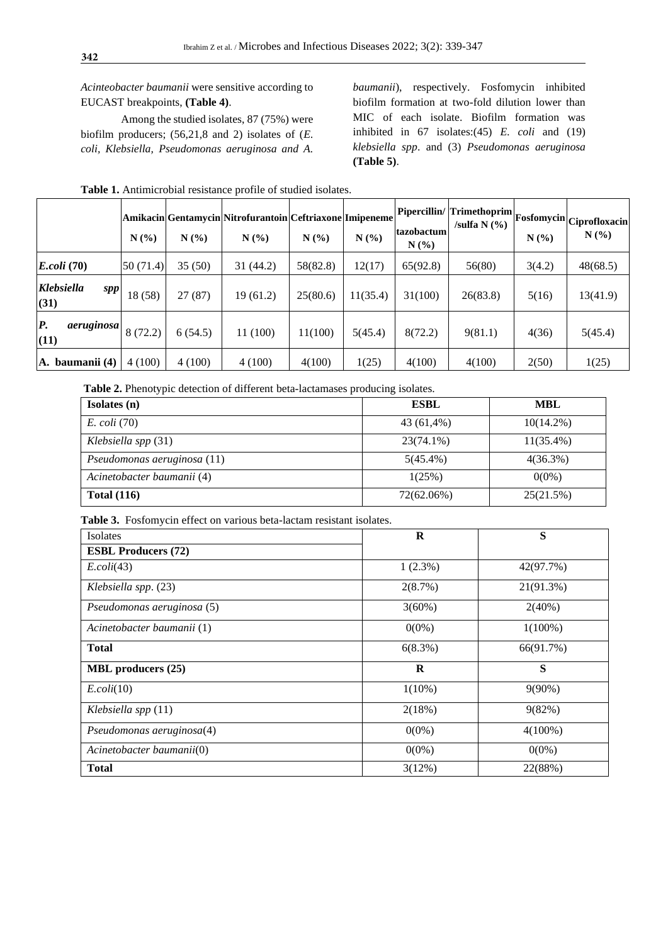*Acinteobacter baumanii* were sensitive according to EUCAST breakpoints, **(Table 4)**.

Among the studied isolates, 87 (75%) were biofilm producers; (56,21,8 and 2) isolates of (*E. coli, Klebsiella, Pseudomonas aeruginosa and A.* 

*baumanii*), respectively. Fosfomycin inhibited biofilm formation at two-fold dilution lower than MIC of each isolate. Biofilm formation was inhibited in 67 isolates:(45) *E. coli* and (19) *klebsiella spp*. and (3) *Pseudomonas aeruginosa* **(Table 5)**.

|                                  | N(%      | N(%     | Amikacin Gentamycin Nitrofurantoin Ceftriaxone Imipeneme<br>N(% | N(%)     | N(%      | tazobactum<br>N(%) | Pipercillin/ Trimethoprim <br>/sulfa $N$ $(\% )$ | $N(\%)$ | Fosfomycin Ciprofloxacin<br>N(% |
|----------------------------------|----------|---------|-----------------------------------------------------------------|----------|----------|--------------------|--------------------------------------------------|---------|---------------------------------|
| E.coli(70)                       | 50(71.4) | 35(50)  | 31 (44.2)                                                       | 58(82.8) | 12(17)   | 65(92.8)           | 56(80)                                           | 3(4.2)  | 48(68.5)                        |
| <b>Klebsiella</b><br>SPP<br>(31) | 18 (58)  | 27(87)  | 19(61.2)                                                        | 25(80.6) | 11(35.4) | 31(100)            | 26(83.8)                                         | 5(16)   | 13(41.9)                        |
| <b>P.</b><br>aeruginosa<br>(11)  | 8(72.2)  | 6(54.5) | 11 (100)                                                        | 11(100)  | 5(45.4)  | 8(72.2)            | 9(81.1)                                          | 4(36)   | 5(45.4)                         |
| baumanii (4)<br>А.               | 4(100)   | 4(100)  | 4(100)                                                          | 4(100)   | 1(25)    | 4(100)             | 4(100)                                           | 2(50)   | 1(25)                           |

**Table 1.** Antimicrobial resistance profile of studied isolates.

**Table 2.** Phenotypic detection of different beta-lactamases producing isolates.

| Isolates (n)                | <b>ESBL</b> | MBL          |  |  |
|-----------------------------|-------------|--------------|--|--|
| <i>E. coli</i> (70)         | 43 (61,4%)  | $10(14.2\%)$ |  |  |
| Klebsiella spp $(31)$       | 23(74.1%)   | $11(35.4\%)$ |  |  |
| Pseudomonas aeruginosa (11) | $5(45.4\%)$ | $4(36.3\%)$  |  |  |
| Acinetobacter baumanii (4)  | 1(25%)      | $0(0\%)$     |  |  |
| Total $(116)$               | 72(62.06%)  | 25(21.5%)    |  |  |

**Table 3.** Fosfomycin effect on various beta-lactam resistant isolates.

| Isolates                   | $\bf R$    | S          |  |  |
|----------------------------|------------|------------|--|--|
| <b>ESBL Producers (72)</b> |            |            |  |  |
| $E. \text{coli}(43)$       | $1(2.3\%)$ | 42(97.7%)  |  |  |
| Klebsiella spp. (23)       | 2(8.7%)    | 21(91.3%)  |  |  |
| Pseudomonas aeruginosa (5) | $3(60\%)$  | $2(40\%)$  |  |  |
| Acinetobacter baumanii (1) | $0(0\%)$   | $1(100\%)$ |  |  |
| <b>Total</b>               | 6(8.3%)    | 66(91.7%)  |  |  |
| <b>MBL</b> producers (25)  | R          | S          |  |  |
| $E. \text{coli}(10)$       | $1(10\%)$  | $9(90\%)$  |  |  |
| Klebsiella spp $(11)$      | 2(18%)     | 9(82%)     |  |  |
| Pseudomonas aeruginosa(4)  | $0(0\%)$   | $4(100\%)$ |  |  |
| Acinetobacter baumanii(0)  | $0(0\%)$   | $0(0\%)$   |  |  |
| <b>Total</b>               | 3(12%)     | 22(88%)    |  |  |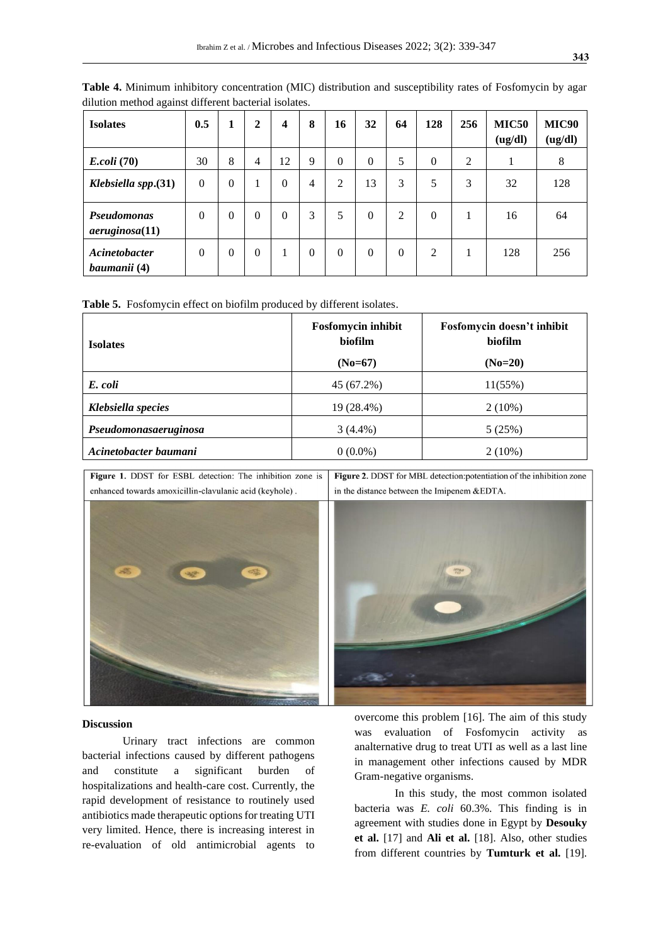| <b>Isolates</b>                            | 0.5            | 1        | $\mathbf{2}$   | $\boldsymbol{4}$ | 8        | 16             | 32           | 64       | 128      | 256            | <b>MIC50</b><br>(ug/dl) | <b>MIC90</b><br>(ug/dl) |
|--------------------------------------------|----------------|----------|----------------|------------------|----------|----------------|--------------|----------|----------|----------------|-------------------------|-------------------------|
| <i>E.coli</i> (70)                         | 30             | 8        | 4              | 12               | 9        | $\theta$       | $\Omega$     | 5        | $\theta$ | $\overline{2}$ | 1                       | 8                       |
| Klebsiella spp.(31)                        | $\theta$       | $\theta$ |                | $\theta$         | 4        | $\overline{2}$ | 13           | 3        | 5        | 3              | 32                      | 128                     |
| <b>Pseudomonas</b><br>$a$ eruginosa $(11)$ | $\overline{0}$ | $\theta$ | $\overline{0}$ | $\theta$         | 3        | 5              | $\mathbf{0}$ | 2        | $\theta$ | 1              | 16                      | 64                      |
| Acinetobacter<br>baumanii (4)              | $\theta$       | $\theta$ | $\theta$       |                  | $\theta$ | $\theta$       | $\theta$     | $\theta$ | 2        | 1              | 128                     | 256                     |

**Table 4.** Minimum inhibitory concentration (MIC) distribution and susceptibility rates of Fosfomycin by agar dilution method against different bacterial isolates.

**Table 5.** Fosfomycin effect on biofilm produced by different isolates.

| <b>Isolates</b>       | Fosfomycin inhibit<br>biofilm<br>$(No=67)$ | Fosfomycin doesn't inhibit<br>biofilm<br>$(No=20)$ |  |  |  |
|-----------------------|--------------------------------------------|----------------------------------------------------|--|--|--|
| E. coli               | 45 (67.2%)                                 | 11(55%)                                            |  |  |  |
| Klebsiella species    | 19 (28.4%)                                 | $2(10\%)$                                          |  |  |  |
| Pseudomonasaeruginosa | $3(4.4\%)$                                 | 5(25%)                                             |  |  |  |
| Acinetobacter baumani | $0(0.0\%)$                                 | $2(10\%)$                                          |  |  |  |

Figure 1. DDST for ESBL detection: The inhibition zone is enhanced towards amoxicillin-clavulanic acid (keyhole).

Figure 2. DDST for MBL detection:potentiation of the inhibition zone in the distance between the Imipenem &EDTA.





### **Discussion**

Urinary tract infections are common bacterial infections caused by different pathogens and constitute a significant burden of hospitalizations and health-care cost. Currently, the rapid development of resistance to routinely used antibiotics made therapeutic options for treating UTI very limited. Hence, there is increasing interest in re-evaluation of old antimicrobial agents to overcome this problem [16]. The aim of this study was evaluation of Fosfomycin activity as analternative drug to treat UTI as well as a last line in management other infections caused by MDR Gram-negative organisms.

In this study, the most common isolated bacteria was *E. coli* 60.3%. This finding is in agreement with studies done in Egypt by **Desouky et al.** [17] and **Ali et al.** [18]. Also, other studies from different countries by **Tumturk et al.** [19].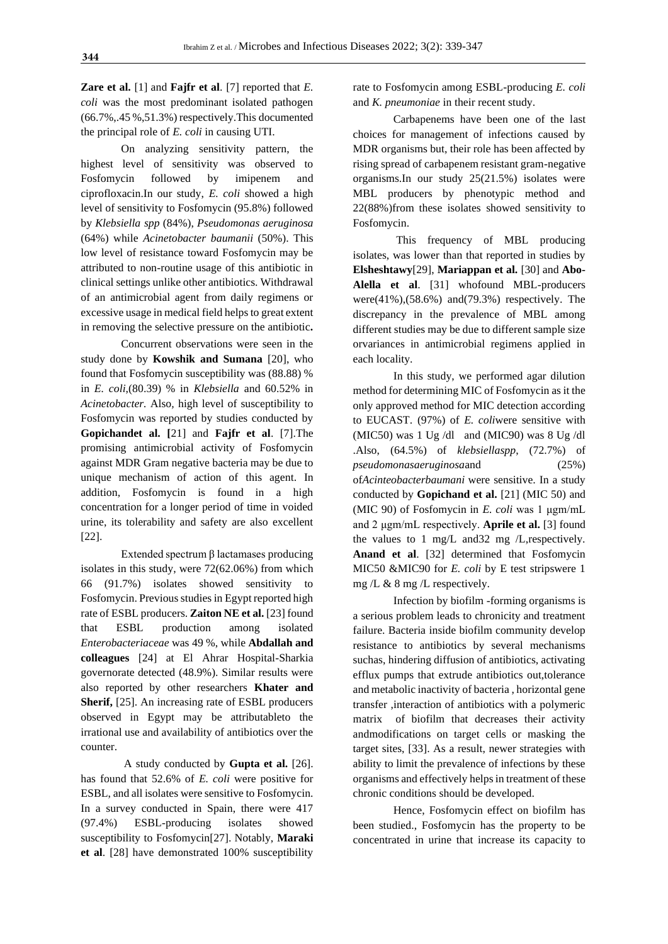**Zare et al.** [1] and **Fajfr et al**. [7] reported that *E. coli* was the most predominant isolated pathogen (66.7%,.45 %,51.3%) respectively.This documented the principal role of *E. coli* in causing UTI.

On analyzing sensitivity pattern, the highest level of sensitivity was observed to Fosfomycin followed by imipenem and ciprofloxacin.In our study, *E. coli* showed a high level of sensitivity to Fosfomycin (95.8%) followed by *Klebsiella spp* (84%), *Pseudomonas aeruginosa* (64%) while *Acinetobacter baumanii* (50%). This low level of resistance toward Fosfomycin may be attributed to non-routine usage of this antibiotic in clinical settings unlike other antibiotics. Withdrawal of an antimicrobial agent from daily regimens or excessive usage in medical field helps to great extent in removing the selective pressure on the antibiotic**.**

Concurrent observations were seen in the study done by **Kowshik and Sumana** [20], who found that Fosfomycin susceptibility was (88.88) % in *E. coli*,(80.39) % in *Klebsiella* and 60.52% in *Acinetobacter.* Also*,* high level of susceptibility to Fosfomycin was reported by studies conducted by **Gopichandet al. [**21] and **Fajfr et al**. [7].The promising antimicrobial activity of Fosfomycin against MDR Gram negative bacteria may be due to unique mechanism of action of this agent. In addition, Fosfomycin is found in a high concentration for a longer period of time in voided urine, its tolerability and safety are also excellent [22].

Extended spectrum β lactamases producing isolates in this study, were 72(62.06%) from which 66 (91.7%) isolates showed sensitivity to Fosfomycin. Previous studies in Egypt reported high rate of ESBL producers. **Zaiton NE et al.** [23] found that ESBL production among isolated *Enterobacteriaceae* was 49 %, while **Abdallah and colleagues** [24] at El Ahrar Hospital-Sharkia governorate detected (48.9%). Similar results were also reported by other researchers **Khater and Sherif,** [25]. An increasing rate of ESBL producers observed in Egypt may be attributableto the irrational use and availability of antibiotics over the counter.

A study conducted by **Gupta et al.** [26]. has found that 52.6% of *E. coli* were positive for ESBL, and all isolates were sensitive to Fosfomycin. In a survey conducted in Spain, there were 417 (97.4%) ESBL-producing isolates showed susceptibility to Fosfomycin[27]. Notably, **Maraki et al**. [28] have demonstrated 100% susceptibility

rate to Fosfomycin among ESBL-producing *E. coli* and *K. pneumoniae* in their recent study.

Carbapenems have been one of the last choices for management of infections caused by MDR organisms but, their role has been affected by rising spread of carbapenem resistant gram-negative organisms.In our study 25(21.5%) isolates were MBL producers by phenotypic method and 22(88%)from these isolates showed sensitivity to Fosfomycin.

This frequency of MBL producing isolates, was lower than that reported in studies by **Elsheshtawy**[29], **Mariappan et al.** [30] and **Abo-Alella et al**. [31] whofound MBL-producers were(41%),(58.6%) and(79.3%) respectively. The discrepancy in the prevalence of MBL among different studies may be due to different sample size orvariances in antimicrobial regimens applied in each locality.

In this study, we performed agar dilution method for determining MIC of Fosfomycin as it the only approved method for MIC detection according to EUCAST. (97%) of *E. coli*were sensitive with (MIC50) was 1 Ug /dl and (MIC90) was 8 Ug /dl .Also, (64.5%) of *klebsiellaspp*, (72.7%) of *pseudomonasaeruginosa*and (25%) of*Acinteobacterbaumani* were sensitive. In a study conducted by **Gopichand et al.** [21] (MIC 50) and (MIC 90) of Fosfomycin in *E. coli* was 1 μgm/mL and 2 μgm/mL respectively. **Aprile et al.** [3] found the values to 1 mg/L and32 mg /L,respectively. **Anand et al**. [32] determined that Fosfomycin MIC50 &MIC90 for *E. coli* by E test stripswere 1 mg /L & 8 mg /L respectively.

Infection by biofilm -forming organisms is a serious problem leads to chronicity and treatment failure. Bacteria inside biofilm community develop resistance to antibiotics by several mechanisms suchas, hindering diffusion of antibiotics, activating efflux pumps that extrude antibiotics out,tolerance and metabolic inactivity of bacteria , horizontal gene transfer ,interaction of antibiotics with a polymeric matrix of biofilm that decreases their activity andmodifications on target cells or masking the target sites, [33]. As a result, newer strategies with ability to limit the prevalence of infections by these organisms and effectively helps in treatment of these chronic conditions should be developed.

Hence, Fosfomycin effect on biofilm has been studied., Fosfomycin has the property to be concentrated in urine that increase its capacity to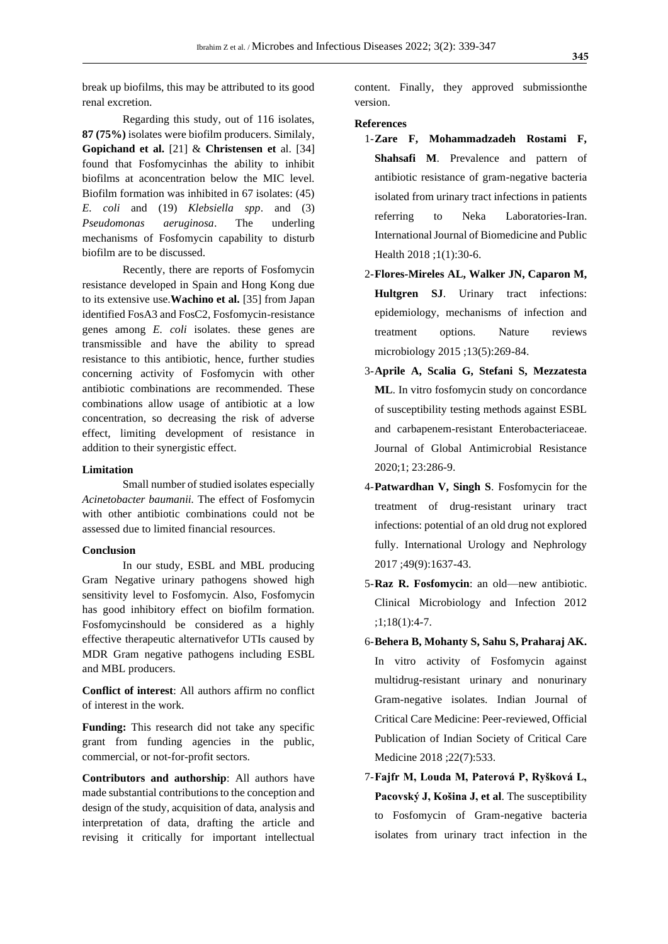break up biofilms, this may be attributed to its good renal excretion.

Regarding this study, out of 116 isolates, **87 (75%)** isolates were biofilm producers. Similaly, **Gopichand et al.** [21] & **Christensen et** al. [34] found that Fosfomycinhas the ability to inhibit biofilms at aconcentration below the MIC level. Biofilm formation was inhibited in 67 isolates: (45) *E. coli* and (19) *Klebsiella spp*. and (3) *Pseudomonas aeruginosa*. The underling mechanisms of Fosfomycin capability to disturb biofilm are to be discussed.

Recently, there are reports of Fosfomycin resistance developed in Spain and Hong Kong due to its extensive use.**Wachino et al.** [35] from Japan identified FosA3 and FosC2, Fosfomycin-resistance genes among *E. coli* isolates. these genes are transmissible and have the ability to spread resistance to this antibiotic, hence, further studies concerning activity of Fosfomycin with other antibiotic combinations are recommended. These combinations allow usage of antibiotic at a low concentration, so decreasing the risk of adverse effect, limiting development of resistance in addition to their synergistic effect.

#### **Limitation**

Small number of studied isolates especially *Acinetobacter baumanii.* The effect of Fosfomycin with other antibiotic combinations could not be assessed due to limited financial resources.

#### **Conclusion**

In our study, ESBL and MBL producing Gram Negative urinary pathogens showed high sensitivity level to Fosfomycin. Also, Fosfomycin has good inhibitory effect on biofilm formation. Fosfomycinshould be considered as a highly effective therapeutic alternativefor UTIs caused by MDR Gram negative pathogens including ESBL and MBL producers.

**Conflict of interest**: All authors affirm no conflict of interest in the work.

**Funding:** This research did not take any specific grant from funding agencies in the public, commercial, or not-for-profit sectors.

**Contributors and authorship**: All authors have made substantial contributions to the conception and design of the study, acquisition of data, analysis and interpretation of data, drafting the article and revising it critically for important intellectual content. Finally, they approved submissionthe version.

## **References**

- 1-**Zare F, Mohammadzadeh Rostami F, Shahsafi M**. Prevalence and pattern of antibiotic resistance of gram-negative bacteria isolated from urinary tract infections in patients referring to Neka Laboratories-Iran. International Journal of Biomedicine and Public Health 2018 ;1(1):30-6.
- 2-**Flores-Mireles AL, Walker JN, Caparon M, Hultgren SJ**. Urinary tract infections: epidemiology, mechanisms of infection and treatment options. Nature reviews microbiology 2015 ;13(5):269-84.
- 3-**Aprile A, Scalia G, Stefani S, Mezzatesta ML**. In vitro fosfomycin study on concordance of susceptibility testing methods against ESBL and carbapenem-resistant Enterobacteriaceae. Journal of Global Antimicrobial Resistance 2020;1; 23:286-9.
- 4-**Patwardhan V, Singh S**. Fosfomycin for the treatment of drug-resistant urinary tract infections: potential of an old drug not explored fully. International Urology and Nephrology 2017 ;49(9):1637-43.
- 5-**Raz R. Fosfomycin**: an old—new antibiotic. Clinical Microbiology and Infection 2012 ;1;18(1):4-7.
- 6-**Behera B, Mohanty S, Sahu S, Praharaj AK.** In vitro activity of Fosfomycin against multidrug-resistant urinary and nonurinary Gram-negative isolates. Indian Journal of Critical Care Medicine: Peer-reviewed, Official Publication of Indian Society of Critical Care Medicine 2018 ;22(7):533.
- 7-**Fajfr M, Louda M, Paterová P, Ryšková L, Pacovský J, Košina J, et al**. The susceptibility to Fosfomycin of Gram-negative bacteria isolates from urinary tract infection in the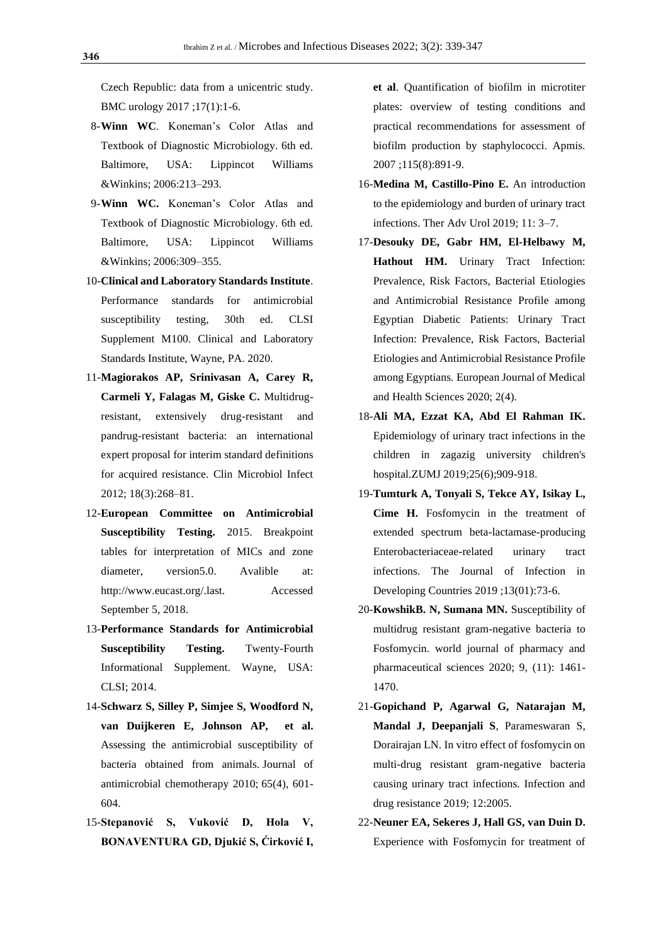Czech Republic: data from a unicentric study. BMC urology 2017 ;17(1):1-6.

- 8-**Winn WC**. Koneman's Color Atlas and Textbook of Diagnostic Microbiology. 6th ed. Baltimore, USA: Lippincot Williams &Winkins; 2006:213–293.
- 9-**Winn WC.** Koneman's Color Atlas and Textbook of Diagnostic Microbiology. 6th ed. Baltimore, USA: Lippincot Williams &Winkins; 2006:309–355.
- 10-**Clinical and Laboratory Standards Institute**. Performance standards for antimicrobial susceptibility testing, 30th ed. CLSI Supplement M100. Clinical and Laboratory Standards Institute, Wayne, PA. 2020.
- 11-**Magiorakos AP, Srinivasan A, Carey R, Carmeli Y, Falagas M, Giske C.** Multidrugresistant, extensively drug-resistant and pandrug-resistant bacteria: an international expert proposal for interim standard definitions for acquired resistance. Clin Microbiol Infect 2012; 18(3):268–81.
- 12-**European Committee on Antimicrobial Susceptibility Testing.** 2015. Breakpoint tables for interpretation of MICs and zone diameter, version5.0. Avalible at: http://www.eucast.org/.last. Accessed September 5, 2018.
- 13-**Performance Standards for Antimicrobial Susceptibility Testing.** Twenty-Fourth Informational Supplement. Wayne, USA: CLSI; 2014.
- 14-**Schwarz S, Silley P, Simjee S, Woodford N, van Duijkeren E, Johnson AP, et al.** Assessing the antimicrobial susceptibility of bacteria obtained from animals. Journal of antimicrobial chemotherapy 2010; 65(4), 601- 604.
- 15-**Stepanović S, Vuković D, Hola V, BONAVENTURA GD, Djukić S, Ćirković I,**

**et al**. Quantification of biofilm in microtiter plates: overview of testing conditions and practical recommendations for assessment of biofilm production by staphylococci. Apmis. 2007 ;115(8):891-9.

- 16-**Medina M, Castillo-Pino E.** An introduction to the epidemiology and burden of urinary tract infections. Ther Adv Urol 2019; 11: 3–7.
- 17-**Desouky DE, Gabr HM, El-Helbawy M, Hathout HM.** Urinary Tract Infection: Prevalence, Risk Factors, Bacterial Etiologies and Antimicrobial Resistance Profile among Egyptian Diabetic Patients: Urinary Tract Infection: Prevalence, Risk Factors, Bacterial Etiologies and Antimicrobial Resistance Profile among Egyptians. European Journal of Medical and Health Sciences 2020; 2(4).
- 18-**Ali MA, Ezzat KA, Abd El Rahman IK.** Epidemiology of urinary tract infections in the children in zagazig university children's hospital.ZUMJ 2019;25(6);909-918.
- 19-**Tumturk A, Tonyali S, Tekce AY, Isikay L, Cime H.** Fosfomycin in the treatment of extended spectrum beta-lactamase-producing Enterobacteriaceae-related urinary tract infections. The Journal of Infection in Developing Countries 2019 ;13(01):73-6.
- 20-**KowshikB. N, Sumana MN.** Susceptibility of multidrug resistant gram-negative bacteria to Fosfomycin. world journal of pharmacy and pharmaceutical sciences 2020; 9, (11): 1461- 1470.
- 21-**Gopichand P, Agarwal G, Natarajan M, Mandal J, Deepanjali S**, Parameswaran S, Dorairajan LN. In vitro effect of fosfomycin on multi-drug resistant gram-negative bacteria causing urinary tract infections. Infection and drug resistance 2019; 12:2005.
- 22-**Neuner EA, Sekeres J, Hall GS, van Duin D.** Experience with Fosfomycin for treatment of